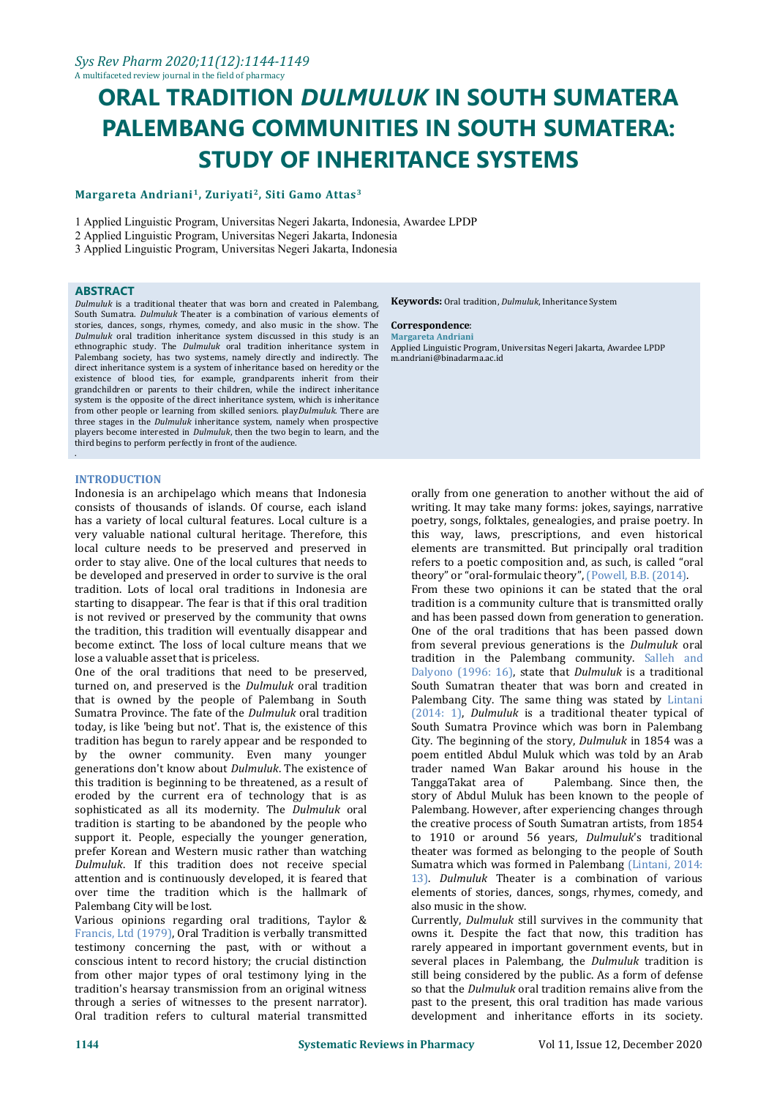# **ORAL TRADITION** *DULMULUK* **IN SOUTH SUMATERA PALEMBANG COMMUNITIES IN SOUTH SUMATERA: STUDY OF INHERITANCE SYSTEMS**

#### **Margareta Andriani<sup>1</sup> , Zuriyati<sup>2</sup> , Siti Gamo Attas 3**

1 Applied Linguistic Program, Universitas Negeri Jakarta, Indonesia, Awardee LPDP

3 Applied Linguistic Program, Universitas Negeri Jakarta, Indonesia

**ABSTRACT**<br>*Dulmuluk* is a traditional theater that was born and created in Palembang, South Sumatra. *Dulmuluk* Theater is a combination of various elements of stories, dances, songs, rhymes, comedy, and also music in the show. The **Correspondence**: Dulmuluk oral tradition inheritance system discussed in this study is an ethnographic study. The *Dulmuluk* oral tradition inheritance system in Palembang society, has two systems, namely directly and indirectly. The direct inheritance system is a system of inheritance based on heredity or the existence of blood ties, for example, grandparents inherit from their grandchildren or parents to their children, while the indirect inheritance system is the opposite of the direct inheritance system, which is inheritance from other people or learning from skilled seniors. play*Dulmuluk*. There are three stages in the *Dulmuluk* inheritance system, namely when prospective players become interested in *Dulmuluk*, then the two begin to learn, and the third begins to perform perfectly in front of the audience.

#### **INTRODUCTION**

.

Indonesia is an archipelago which means that Indonesia consists of thousands of islands. Of course, each island has a variety of local cultural features. Local culture is a very valuable national cultural heritage. Therefore, this local culture needs to be preserved and preserved in order to stay alive. One of the local cultures that needs to be developed and preserved in order to survive is the oral tradition. Lots of local oral traditions in Indonesia are starting to disappear. The fear is that if this oral tradition is not revived or preserved by the community that owns the tradition, this tradition will eventually disappear and become extinct. The loss of local culture means that we lose a valuable asset that is priceless.

One of the oral traditions that need to be preserved, turned on, and preserved is the *Dulmuluk* oral tradition that is owned by the people of Palembang in South Sumatra Province. The fate of the *Dulmuluk* oral tradition today, is like 'being but not'. That is, the existence of this tradition has begun to rarely appear and be responded to by the owner community. Even many younger generations don't know about *Dulmuluk*. The existence of trader named Wan I this tradition is beginning to be threatened, as a result of TanggaTakat area of this tradition is beginning to be threatened, as a result of eroded by the current era of technology that is as sophisticated as all its modernity. The *Dulmuluk* oral tradition is starting to be abandoned by the people who support it. People, especially the younger generation, prefer Korean and Western music rather than watching *Dulmuluk*. If this tradition does not receive special attention and is continuously developed, it is feared that over time the tradition which is the hallmark of Palembang City will be lost.

Various opinions regarding oral traditions, Taylor & Francis, Ltd (1979), Oral Tradition is verbally transmitted testimony concerning the past, with or without a conscious intent to record history; the crucial distinction from other major types of oral testimony lying in the tradition's hearsay transmission from an original witness through a series of witnesses to the present narrator). Oral tradition refers to cultural material transmitted

**Keywords:** Oral tradition, *Dulmuluk*, Inheritance System

## **Correspondence**: **Margareta Andriani**

Applied Linguistic Program, Universitas Negeri Jakarta, Awardee LPDP m.andriani@binadarma.ac.id

orally from one generation to another without the aid of writing. It may take many forms: jokes, sayings, narrative poetry, songs, folktales, genealogies, and praise poetry. In this way, laws, prescriptions, and even historical elements are transmitted. But principally oral tradition refers to a poetic composition and, as such, is called "oral theory" or "oral-formulaic theory", (Powell, B.B. (2014).

From these two opinions it can be stated that the oral tradition is a community culture that is transmitted orally and has been passed down from generation to generation. One of the oral traditions that has been passed down from several previous generations is the *Dulmuluk* oral tradition in the Palembang community. Salleh and Dalyono (1996: 16), state that *Dulmuluk* is a traditional South Sumatran theater that was born and created in Palembang City. The same thing was stated by Lintani (2014: 1), *Dulmuluk* is a traditional theater typical of South Sumatra Province which was born in Palembang City. The beginning of the story,*Dulmuluk* in 1854 was a poem entitled Abdul Muluk which was told by an Arab trader named Wan Bakar around his house in the Palembang. Since then, the story of Abdul Muluk has been known to the people of Palembang. However, after experiencing changes through the creative process of South Sumatran artists, from 1854 to 1910 or around 56 years, *Dulmuluk*'s traditional theater was formed as belonging to the people of South Sumatra which was formed in Palembang (Lintani, 2014: 13). *Dulmuluk* Theater is a combination of various elements of stories, dances, songs, rhymes, comedy, and also music in the show.

Currently, *Dulmuluk* still survives in the community that owns it. Despite the fact that now, this tradition has rarely appeared in important government events, but in several places in Palembang, the *Dulmuluk* tradition is still being considered by the public. As a form of defense so that the *Dulmuluk* oral tradition remains alive from the past to the present, this oral tradition has made various development and inheritance efforts in its society.

<sup>2</sup> Applied Linguistic Program, Universitas Negeri Jakarta, Indonesia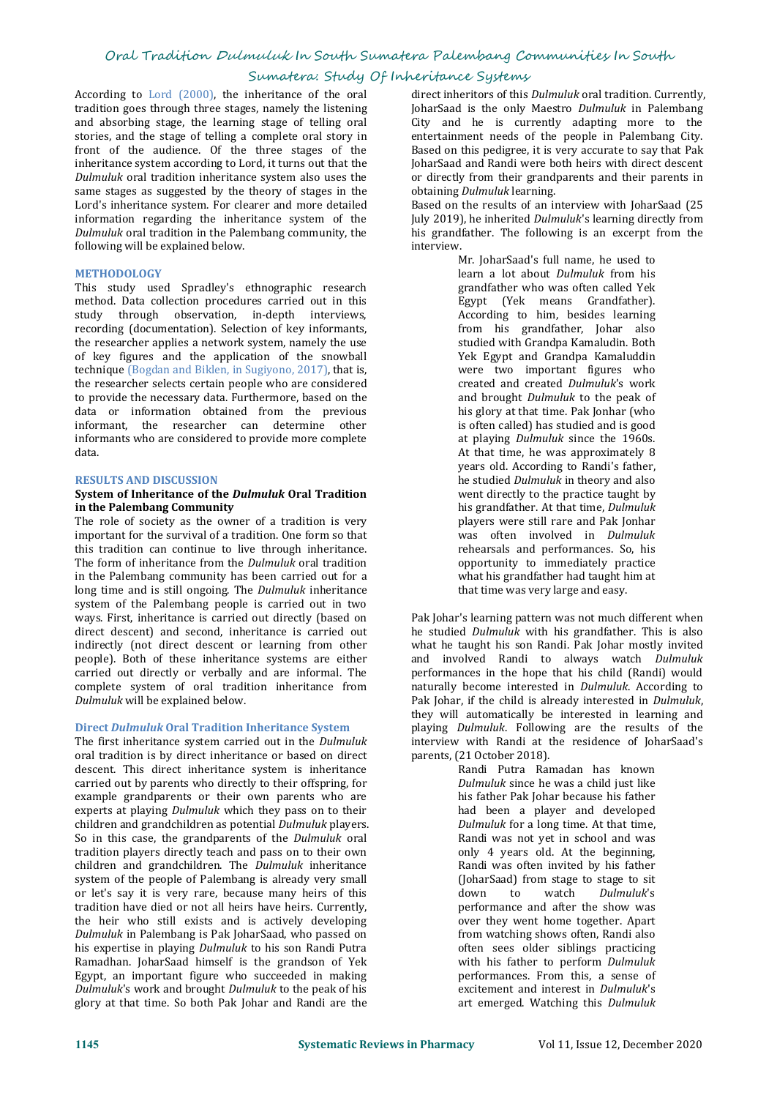#### Sumatera: Study Of Inheritance Systems

According to Lord (2000), the inheritance of the oral tradition goes through three stages, namely the listening and absorbing stage, the learning stage of telling oral stories, and the stage of telling a complete oral story in front of the audience. Of the three stages of the inheritance system according to Lord, it turns out that the Dulmuluk oral tradition inheritance system also uses the same stages as suggested by the theory of stages in the Lord's inheritance system. For clearer and more detailed information regarding the inheritance system of the *Dulmuluk* oral tradition in the Palembang community, the *Dulmuluk* oral tradition in the Palembang community, the *his* grand following will be explained below. following will be explained below.

#### **METHODOLOGY**

This study used Spradley's ethnographic research method. Data collection procedures carried out in this study through observation, in-depth interviews, recording (documentation). Selection of key informants, the researcher applies a network system, namely the use of key figures and the application of the snowball technique (Bogdan and Biklen, in Sugiyono, 2017), that is, the researcher selects certain people who are considered to provide the necessary data. Furthermore, based on the data or information obtained from the previous informant, the researcher can determine other informants who are considered to provide more complete data.

#### **RESULTS AND DISCUSSION**

#### **System** of **Inheritance** of the *Dulmuluk* Oral Tradition **in the Palembang Community**

The role of society as the owner of a tradition is very important for the survival of a tradition. One form so that this tradition can continue to live through inheritance. The form of inheritance from the *Dulmuluk* oral tradition in the Palembang community has been carried out for a long time and is still ongoing. The *Dulmuluk* inheritance system of the Palembang people is carried out in two ways. First, inheritance is carried out directly (based on direct descent) and second, inheritance is carried out indirectly (not direct descent or learning from other people). Both of these inheritance systems are either carried out directly or verbally and are informal. The complete system of oral tradition inheritance from *Dulmuluk* will be explained below.

#### **Direct** *Dulmuluk* **Oral Tradition Inheritance System**

The first inheritance system carried out in the *Dulmuluk* interview with Randi at t oral tradition is by direct inheritance or based on direct parents, (21 October 2018). oral tradition is by direct inheritance or based on direct parents, (21 October 2018).<br>
descent. This direct inheritance system is inheritance Randi Putra Ramadan has known descent. This direct inheritance system is inheritance carried out by parents who directly to their offspring, for example grandparents or their own parents who are experts at playing *Dulmuluk* which they pass on to their children and grandchildren as potential *Dulmuluk* players. So in this case, the grandparents of the *Dulmuluk* oral tradition players directly teach and pass on to their own children and grandchildren. The *Dulmuluk* inheritance system of the people of Palembang is already very small or let's say it is very rare, because many heirs of this tradition have died or not all heirs have heirs. Currently, the heir who still exists and is actively developing *Dulmuluk* in Palembang is Pak JoharSaad, who passed on his expertise in playing *Dulmuluk* to his son Randi Putra Ramadhan. JoharSaad himself is the grandson of Yek Egypt, an important figure who succeeded in making *Dulmuluk*'s work and brought *Dulmuluk* to the peak of his glory at that time. So both Pak Johar and Randi are the

direct inheritors of this *Dulmuluk* oral tradition. Currently, JoharSaad is the only Maestro *Dulmuluk* in Palembang City and he is currently adapting more to the entertainment needs of the people in Palembang City. Based on this pedigree, it is very accurate to say that Pak JoharSaad and Randi were both heirs with direct descent or directly from their grandparents and their parents in obtaining *Dulmuluk* learning.

Based on the results of an interview with JoharSaad (25 July 2019), he inherited *Dulmuluk*'s learning directly from his grandfather. The following is an excerpt from the

> Mr. JoharSaad's full name, he used to learn a lot about *Dulmuluk* from his grandfather who was often called Yek Egypt (Yek means Grandfather). According to him, besides learning from his grandfather, Johar also studied with Grandpa Kamaludin. Both Yek Egypt and Grandpa Kamaluddin were two important figures who created and created *Dulmuluk*'s work and brought *Dulmuluk* to the peak of his glory at that time. Pak Jonhar (who is often called) has studied and is good at playing *Dulmuluk* since the 1960s. At that time, he was approximately 8 years old. According to Randi's father, he studied *Dulmuluk* in theory and also went directly to the practice taught by his grandfather. At that time, *Dulmuluk* players were still rare and Pak Jonhar was often involved in *Dulmuluk* rehearsals and performances. So, his opportunity to immediately practice what his grandfather had taught him at that time was very large and easy.

Pak Johar's learning pattern was not much different when he studied *Dulmuluk* with his grandfather. This is also what he taught his son Randi. Pak Johar mostly invited and involved Randi to always watch *Dulmuluk* performances in the hope that his child (Randi) would naturally become interested in *Dulmuluk*. According to Pak Johar, if the child is already interested in *Dulmuluk*, they will automatically be interested in learning and playing *Dulmuluk*. Following are the results of the interview with Randi at the residence of JoharSaad's

> Dulmuluk since he was a child just like his father Pak Johar because his father had been a player and developed *Dulmuluk* for a long time. At that time, Randi was not yet in school and was only 4 years old. At the beginning, Randi was often invited by his father (JoharSaad) from stage to stage to sit<br>down to watch Dulmuluk's down to watch *Dulmuluk*'s performance and after the show was over they went home together. Apart from watching shows often, Randi also often sees older siblings practicing with his father to perform *Dulmuluk* performances. From this, a sense of excitement and interest in *Dulmuluk*'s art emerged. Watching this *Dulmuluk*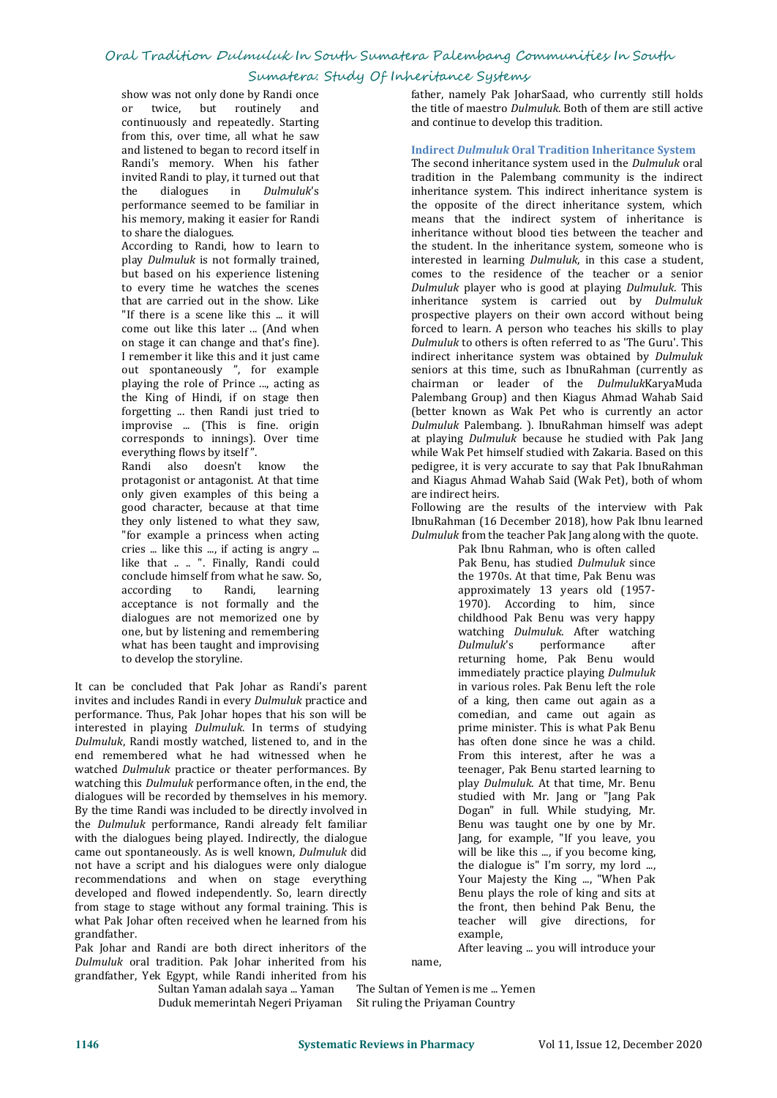#### Sumatera: Study Of Inheritance Systems

show was not only done by Randi once<br>or twice. but routinely and or twice, but routinely continuously and repeatedly. Starting from this, over time, all what he saw and listened to began to record itself in Randi's memory. When his father invited Randi to play, it turned out that<br>the dialogues in *Dulmuluk's* the dialogues in *Dulmuluk*'s performance seemed to be familiar in his memory, making it easier for Randi to share the dialogues.

According to Randi, how to learn to play *Dulmuluk* is not formally trained, to every time he watches the scenes that are carried out in the show. Like "If there is a scene like this ... it will come out like this later ...(And when on stage it can change and that's fine). out spontaneously ", for example playing the role of Prince ..., acting as forgetting ... then Randi just tried to improvise ... (This is fine. origin corresponds to innings). Over time everything flows by itself ".

Randi also doesn't know the protagonist or antagonist. At that time<br>
only given examples of this being a same indirect heirs. only given examples of this being a good character, because at that time they only listened to what they saw, "for example a princess when acting cries ... like this ..., if acting is angry ... like that ... ". Finally, Randi could conclude himself from what he saw. So,<br>according to Randi, learning according to Randi, acceptance is not formally and the dialogues are not memorized one by one, but by listening and remembering what has been taught and improvising to develop the storyline.

It can be concluded that Pak Johar as Randi's parent invites and includes Randi in every *Dulmuluk* practice and performance. Thus, Pak Johar hopes that his son will be interested in playing *Dulmuluk*. In terms of studying *Dulmuluk*, Randi mostly watched, listened to, and in the end remembered what he had witnessed when he watched *Dulmuluk* practice or theater performances. By watching this *Dulmuluk* performance often, in the end, the dialogues will be recorded by themselves in his memory. By the time Randi was included to be directly involved in the *Dulmuluk* performance, Randi already felt familiar with the dialogues being played. Indirectly, the dialogue came out spontaneously. As is well known, *Dulmuluk* did not have a script and his dialogues were only dialogue recommendations and when on stage everything developed and flowed independently. So, learn directly from stage to stage without any formal training. This is what Pak Johar often received when helearned from his grandfather.<br>Pak Johar and Randi are both direct inheritors of the

Dulmuluk oral tradition. Pak Johar inherited from his grandfather, Yek Egypt, while Randi inherited from his

Sultan Yaman adalah saya ... Yaman

father, namely Pak JoharSaad, who currently still holds the title of maestro *Dulmuluk*. Both of them are still active and continue to develop this tradition.

#### **Indirect** *Dulmuluk* **Oral Tradition Inheritance System**

but based on his experience listening comes to the residence of the teacher or a senior I remember it like this and it just came<br>out spontaneously ", for example seniors at this time, such as IbnuRahman (currently as the King of Hindi, if on stage then **Example 2** Palembang Group) and then Kiagus Ahmad Wahab Said forgetting ... then Randi just tried to **Example 2** (better known as Wak Pet who is currently an actor The second inheritance system used in the *Dulmuluk* oral tradition in the Palembang community is the indirect inheritance system. This indirect inheritance system is the opposite of the direct inheritance system, which means that the indirect system of inheritance is inheritance without blood ties between the teacher and the student. In the inheritance system, someone who is interested in learning *Dulmuluk*, in this case a student, Dulmuluk player who is good at playing *Dulmuluk*. This inheritance system is carried out by *Dulmuluk* prospective players on their own accord without being forced to learn. A person who teaches his skills to play *Dulmuluk* to others is often referred to as 'The Guru'.This indirect inheritance system was obtained by *Dulmuluk* chairman or leader of the *Dulmuluk*KaryaMuda Palembang Group) and then Kiagus Ahmad Wahab Said Dulmuluk Palembang. ). IbnuRahman himself was adept at playing *Dulmuluk* because he studied with Pak Jang while Wak Pet himself studied with Zakaria. Based on this pedigree, it is very accurate to say that Pak IbnuRahman and Kiagus Ahmad Wahab Said (Wak Pet), both of whom

> Following are the results of the interview with Pak IbnuRahman (16 December 2018), how Pak Ibnulearned *Dulmuluk* from the teacher Pak Jang along with the quote.

> > Pak Ibnu Rahman, who is often called Pak Benu, has studied *Dulmuluk* since the 1970s. At that time, Pak Benu was approximately 13 years old (1957- 1970). According to him, since childhood Pak Benu was very happy watching *Dulmuluk*. After watching performance returning home, Pak Benu would immediately practice playing *Dulmuluk* in various roles. Pak Benu left the role of a king, then came out again as a comedian, and came out again as prime minister. This is what Pak Benu has often done since he was a child. From this interest, after he was a teenager, Pak Benu started learning to play *Dulmuluk*. At that time, Mr. Benu studied with Mr. Jang or"Jang Pak Dogan" in full. While studying, Mr. Benu was taught one by one by Mr. Jang, for example, "If you leave, you will be like this ..., if you become king, the dialogue is" I'm sorry, my lord ..., Your Majesty the King ..., "When Pak Benu plays the role of king and sits at the front, then behind Pak Benu, the teacher will give directions, for example,

After leaving ... you will introduce your

name,

Duduk memerintah Negeri Priyaman Sit ruling the Priyaman Country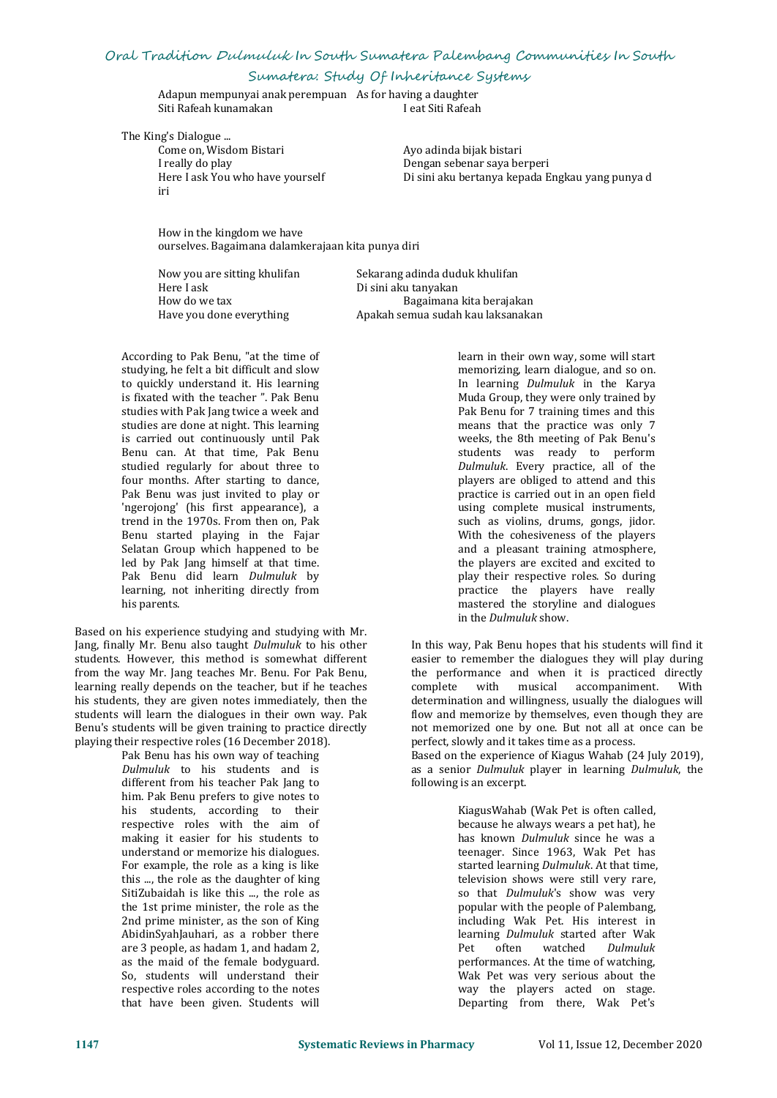Sumatera: Study Of Inheritance Systems

Adapun mempunyaianak perempuan As for having a daughter Siti Rafeah kunamakan

The King's Dialogue ...

Come on, Wisdom Bistari Ayo adinda bijak bistari I really do play<br>I pengan sebenar saya be I really do play<br>Here I ask You who have yourself **Example 2018** Di sini aku bertanya kepada E Here I ask You who have yourself Di sini aku bertanya kepada Engkau yang punya d iri

How in the kingdom we have ourselves. Bagaimana dalamkerajaan kita punya diri

Here I ask Di sini aku tanyakan<br>How do we tax Bagaimana

Now you are sitting khulifan Sekarang adinda duduk khulifan<br>Here Lask Di sini aku tanyakan How do we tax extinguing the Bagaimana kita berajakan Have you done everything the Apakah semua sudah kau laksanaka Apakah semua sudah kau laksanakan

According to Pak Benu, "at the time of studying, he felt a bit difficult and slow to quickly understand it. His learning is fixated with the teacher ". Pak Benu studies with Pak Jang twice a week and studies are done at night. This learning is carried out continuously until Pak Benu can. At that time, Pak Benu studied regularly for about three to four months. After starting to dance, Pak Benu was just invited to play or 'ngerojong' (his first appearance), a trend in the 1970s. From then on, Pak Benu started playing in the Fajar Selatan Group which happened to be led by Pak Jang himself at that time. Pak Benu did learn *Dulmuluk* by learning, not inheriting directly from his parents.

Based on his experience studying and studying with Mr. Jang, finally Mr. Benu also taught *Dulmuluk* to his other students. However, this method is somewhat different from the way Mr. Jang teaches Mr. Benu. For Pak Benu, learning really depends on the teacher, but if he teaches his students, they are given notes immediately, then the students will learn the dialogues in their own way. Pak Benu's students will be given training to practice directly playing their respective roles (16 December 2018).

Pak Benu has his own way of teaching *Dulmuluk* to his students and is different from his teacher Pak Jang to him. Pak Benu prefers to give notes to his students, according to their respective roles with the aim of making it easier for his students to understand or memorize his dialogues. For example, the role as a king is like this ..., the role as the daughter of king SitiZubaidah is like this ..., the role as the 1st prime minister, the role as the 2nd prime minister, as the son of King AbidinSyahJauhari, as a robber there are 3 people, as hadam 1, and hadam 2, as the maid of the female bodyguard. So, students will understand their respective roles according to the notes that have been given. Students will

learn in their own way, some will start memorizing, learn dialogue, and so on. In learning *Dulmuluk* in the Karya Muda Group, they were only trained by Pak Benu for 7 training times and this means that the practice was only 7 weeks, the 8th meeting of Pak Benu's students was ready to perform *Dulmuluk*. Every practice, all of the players are obliged to attend and this practice is carried out in an open field using complete musical instruments, such as violins, drums, gongs, jidor. With the cohesiveness of the players and a pleasant training atmosphere, the players are excited and excited to play their respective roles. So during practice the players have really mastered the storyline and dialogues in the *Dulmuluk* show.

In this way, Pak Benu hopes that his students will find it easier to remember the dialogues they will play during the performance and when it is practiced directly complete with musical accompaniment. With determination and willingness, usually the dialogues will flow and memorize by themselves, even though they are not memorized one by one. But not all at once can be perfect, slowly and it takes time as a process.

Based on the experience of Kiagus Wahab (24 July 2019), as a senior *Dulmuluk* player in learning *Dulmuluk*, the following is an excerpt.

> KiagusWahab (Wak Pet is often called, because he always wears a pet hat), he has known *Dulmuluk* since he was a teenager. Since 1963, Wak Pet has started learning *Dulmuluk*. At that time, television shows were still very rare, so that *Dulmuluk*'s show was very popular with the people of Palembang, including Wak Pet. His interest in learning *Dulmuluk* started after Wak often watched *Dulmuluk* performances. At the time of watching, Wak Pet was very serious about the way the players acted on stage. Departing from there, Wak Pet's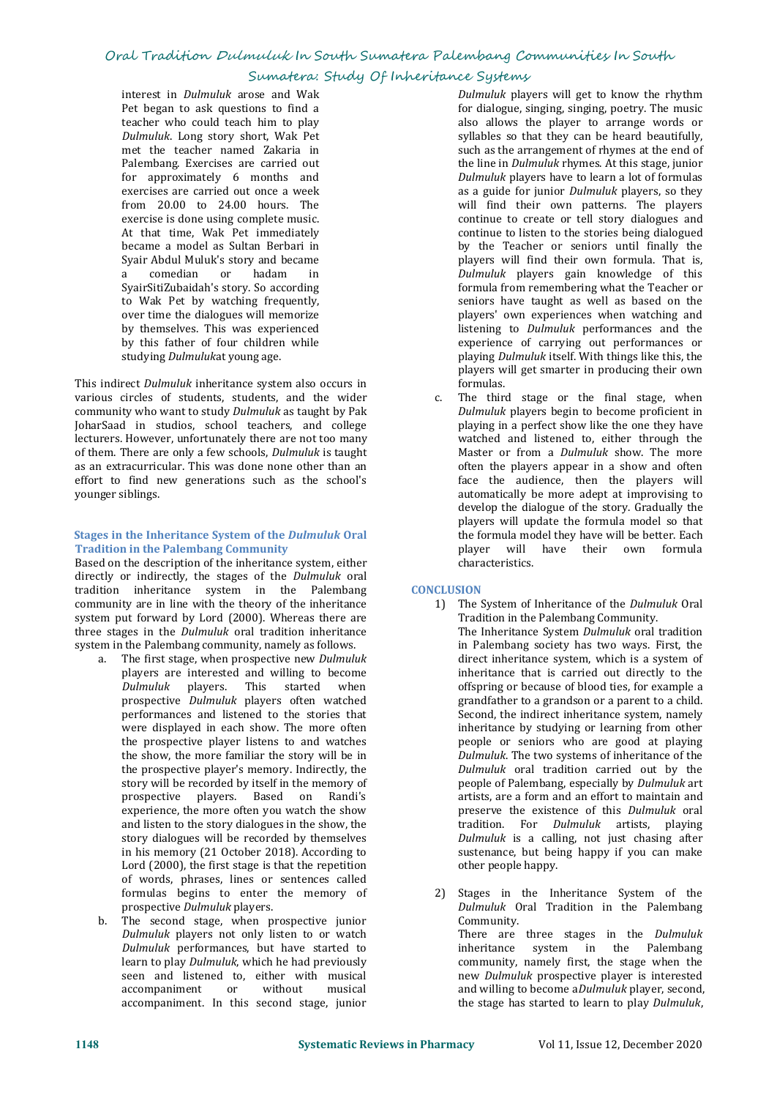#### Sumatera: Study Of Inheritance Systems

interest in *Dulmuluk* arose and Wak Pet began to ask questions to find a teacher who could teach him to play *Dulmuluk*. Long story short, Wak Pet met the teacher named Zakaria in Palembang. Exercises are carried out for approximately 6 months and exercises are carried out once a week from 20.00 to 24.00 hours. The exercise is done using complete music. At that time, Wak Pet immediately became a model as Sultan Berbari in Syair Abdul Muluk's story and became<br>a comedian or hadam in a comedian or hadam in the same of the same of the same of the same of the same of the same of the same of the s SyairSitiZubaidah's story. So according to Wak Pet by watching frequently, over time the dialogues will memorize by themselves. This was experienced by this father of four children while studying *Dulmuluk*at young age.

This indirect *Dulmuluk* inheritance system also occurs in formulas.<br>
various circles of students, students, and the wider c. The third stage or the final stage, when various circles of students, students, and the wider community who want to study *Dulmuluk* as taught by Pak JoharSaad in studios, school teachers, and college lecturers. However, unfortunately there are not too many of them. There are only a few schools, *Dulmuluk* is taught as an extracurricular. This was done none other than an effort to find new generations such as the school's younger siblings.

#### **Stages in the Inheritance System of the** *Dulmuluk* **Oral Tradition in the Palembang Community**

Based on the description of the inheritance system, either directly or indirectly, the stages of the *Dulmuluk* oral tradition inheritance system in the Palembang community are in line with the theory of the inheritance system put forward by Lord (2000). Whereas there are three stages in the *Dulmuluk* oral tradition inheritance system in the Palembang community, namely as follows.

- a. The first stage, when prospective new *Dulmuluk* Dulmuluk players. This started when prospective *Dulmuluk* players often watched performances and listened to the stories that were displayed in each show. The more often the show, the more familiar the story will be in the prospective player's memory. Indirectly, the story will be recorded by itself in the memory of prospective players. Based on Randi's experience, the more often you watch the show and listen to the story dialogues in the show, the story dialogues will be recorded by themselves in his memory (21 October 2018). According to Lord (2000), the first stage is that the repetition of words, phrases, lines or sentences called<br>formulas begins to enter the memory of 2) Stages in the Inheritance System of the formulas begins to enter the memory of
- prospective *Dulmuluk* players.<br>The second stage, when prospective junior b. The second stage, when prospective junior *Dulmuluk* players not only listen to or watch *Dulmuluk* performances, but have started to learn to play *Dulmuluk*, which he had previously seen and listened to, either with musical accompaniment or without musical accompaniment or accompaniment. In this second stage, junior

*Dulmuluk* players will get to know the rhythm for dialogue, singing, singing, poetry. The music also allows the player to arrange words or syllables so that they can be heard beautifully, such as the arrangement of rhymes at the end of<br>the line in *Dulmuluk* rhymes. At this stage, junior Dulmuluk players have to learn a lot of formulas as a guide for junior *Dulmuluk* players, so they will find their own patterns. The players continue to create or tell story dialogues and continue to listen to the stories being dialogued by the Teacher or seniors until finally the players will find their own formula. That is, Dulmuluk players gain knowledge of this formula from remembering what the Teacher or seniors have taught as well as based on the players' own experiences when watching and listening to *Dulmuluk* performances and the experience of carrying out performances or playing *Dulmuluk* itself. With things like this, the players will get smarter in producing their own formulas.

Dulmuluk players begin to become proficient in playing in a perfect show like the one they have watched and listened to, either through the Master or from a *Dulmuluk* show. The more often the players appear in a show and often face the audience, then the players will automatically be more adept at improvising to develop the dialogue of the story. Gradually the players will update the formula model so that the formula model they have will be better. Each player will have their own formula characteristics.

#### **CONCLUSION**

- the prospective player listens to and watches being the show, the more familiar the story will be in the show, the more familiar the story will be in the show, the more familiar the story will be in  $Dulmuluk$ . The two system 1) The System of Inheritance of the *Dulmuluk* Oral Tradition in the Palembang Community. The Inheritance System *Dulmuluk* oral tradition in Palembang society has two ways. First, the direct inheritance system, which is a system of inheritance that is carried out directly to the offspring or because of blood ties, for example a grandfather to a grandson or a parent to a child. Second, the indirect inheritance system, namely inheritance by studying or learning from other people or seniors who are good at playing *Dulmuluk* oral tradition carried out by the people of Palembang, especially by *Dulmuluk* art artists, are a form and an effort to maintain and preserve the existence of this *Dulmuluk* oral tradition. For *Dulmuluk* artists, playing *Dulmuluk* is a calling, not just chasing after sustenance, but being happy if you can make other people happy.
	- Dulmuluk Oral Tradition in the Palembang Community. There are three stages in the *Dulmuluk* inheritance system in the Palembang community, namely first, the stage when the new *Dulmuluk* prospective player is interested and willing to become a*Dulmuluk* player, second, the stage has started to learn to play *Dulmuluk*,